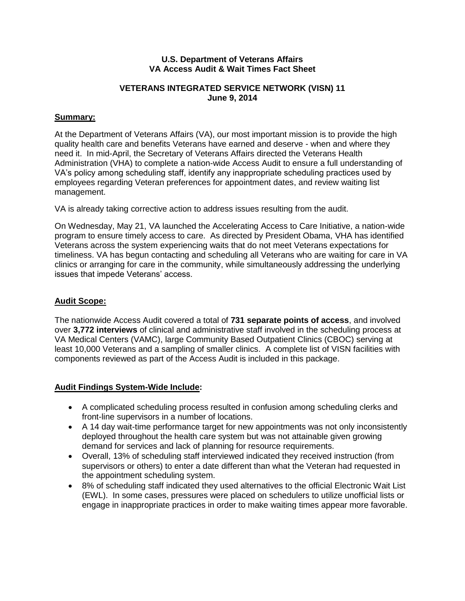#### **U.S. Department of Veterans Affairs VA Access Audit & Wait Times Fact Sheet**

# **VETERANS INTEGRATED SERVICE NETWORK (VISN) 11 June 9, 2014**

# **Summary:**

At the Department of Veterans Affairs (VA), our most important mission is to provide the high quality health care and benefits Veterans have earned and deserve - when and where they need it. In mid-April, the Secretary of Veterans Affairs directed the Veterans Health Administration (VHA) to complete a nation-wide Access Audit to ensure a full understanding of VA's policy among scheduling staff, identify any inappropriate scheduling practices used by employees regarding Veteran preferences for appointment dates, and review waiting list management.

VA is already taking corrective action to address issues resulting from the audit.

On Wednesday, May 21, VA launched the Accelerating Access to Care Initiative, a nation-wide program to ensure timely access to care. As directed by President Obama, VHA has identified Veterans across the system experiencing waits that do not meet Veterans expectations for timeliness. VA has begun contacting and scheduling all Veterans who are waiting for care in VA clinics or arranging for care in the community, while simultaneously addressing the underlying issues that impede Veterans' access.

#### **Audit Scope:**

The nationwide Access Audit covered a total of **731 separate points of access**, and involved over **3,772 interviews** of clinical and administrative staff involved in the scheduling process at VA Medical Centers (VAMC), large Community Based Outpatient Clinics (CBOC) serving at least 10,000 Veterans and a sampling of smaller clinics. A complete list of VISN facilities with components reviewed as part of the Access Audit is included in this package.

# **Audit Findings System-Wide Include:**

- A complicated scheduling process resulted in confusion among scheduling clerks and front-line supervisors in a number of locations.
- A 14 day wait-time performance target for new appointments was not only inconsistently deployed throughout the health care system but was not attainable given growing demand for services and lack of planning for resource requirements.
- Overall, 13% of scheduling staff interviewed indicated they received instruction (from supervisors or others) to enter a date different than what the Veteran had requested in the appointment scheduling system.
- 8% of scheduling staff indicated they used alternatives to the official Electronic Wait List (EWL). In some cases, pressures were placed on schedulers to utilize unofficial lists or engage in inappropriate practices in order to make waiting times appear more favorable.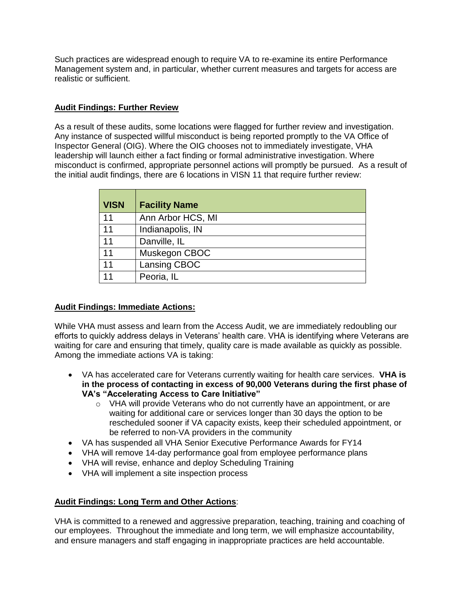Such practices are widespread enough to require VA to re-examine its entire Performance Management system and, in particular, whether current measures and targets for access are realistic or sufficient.

# **Audit Findings: Further Review**

As a result of these audits, some locations were flagged for further review and investigation. Any instance of suspected willful misconduct is being reported promptly to the VA Office of Inspector General (OIG). Where the OIG chooses not to immediately investigate, VHA leadership will launch either a fact finding or formal administrative investigation. Where misconduct is confirmed, appropriate personnel actions will promptly be pursued. As a result of the initial audit findings, there are 6 locations in VISN 11 that require further review:

| <b>VISN</b> | <b>Facility Name</b> |
|-------------|----------------------|
| 11          | Ann Arbor HCS, MI    |
| 11          | Indianapolis, IN     |
| 11          | Danville, IL         |
| 11          | Muskegon CBOC        |
| 11          | Lansing CBOC         |
| 11          | Peoria, IL           |

# **Audit Findings: Immediate Actions:**

While VHA must assess and learn from the Access Audit, we are immediately redoubling our efforts to quickly address delays in Veterans' health care. VHA is identifying where Veterans are waiting for care and ensuring that timely, quality care is made available as quickly as possible. Among the immediate actions VA is taking:

- VA has accelerated care for Veterans currently waiting for health care services. **VHA is in the process of contacting in excess of 90,000 Veterans during the first phase of VA's "Accelerating Access to Care Initiative"**
	- $\circ$  VHA will provide Veterans who do not currently have an appointment, or are waiting for additional care or services longer than 30 days the option to be rescheduled sooner if VA capacity exists, keep their scheduled appointment, or be referred to non-VA providers in the community
- VA has suspended all VHA Senior Executive Performance Awards for FY14
- VHA will remove 14-day performance goal from employee performance plans
- VHA will revise, enhance and deploy Scheduling Training
- VHA will implement a site inspection process

# **Audit Findings: Long Term and Other Actions**:

VHA is committed to a renewed and aggressive preparation, teaching, training and coaching of our employees. Throughout the immediate and long term, we will emphasize accountability, and ensure managers and staff engaging in inappropriate practices are held accountable.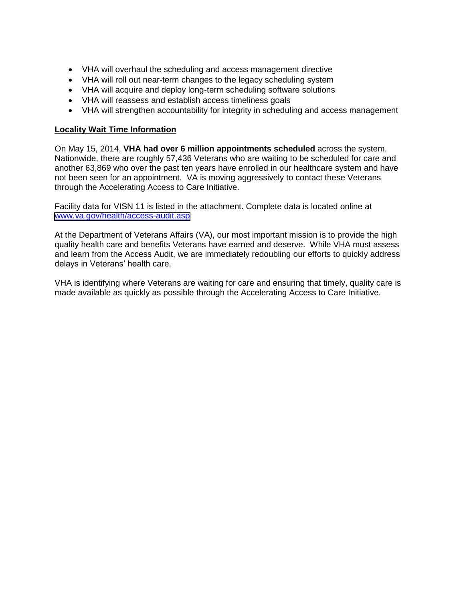- VHA will overhaul the scheduling and access management directive
- VHA will roll out near-term changes to the legacy scheduling system
- VHA will acquire and deploy long-term scheduling software solutions
- VHA will reassess and establish access timeliness goals
- VHA will strengthen accountability for integrity in scheduling and access management

#### **Locality Wait Time Information**

On May 15, 2014, **VHA had over 6 million appointments scheduled** across the system. Nationwide, there are roughly 57,436 Veterans who are waiting to be scheduled for care and another 63,869 who over the past ten years have enrolled in our healthcare system and have not been seen for an appointment. VA is moving aggressively to contact these Veterans through the Accelerating Access to Care Initiative.

Facility data for VISN 11 is listed in the attachment. Complete data is located online at [www.va.gov/health/access-audit.asp](https://www.va.gov/health/access-audit.asp)

At the Department of Veterans Affairs (VA), our most important mission is to provide the high quality health care and benefits Veterans have earned and deserve. While VHA must assess and learn from the Access Audit, we are immediately redoubling our efforts to quickly address delays in Veterans' health care.

VHA is identifying where Veterans are waiting for care and ensuring that timely, quality care is made available as quickly as possible through the Accelerating Access to Care Initiative.